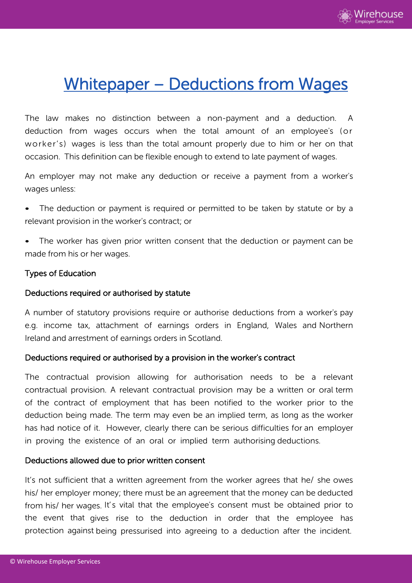

# Whitepaper – Deductions from Wages

The law makes no distinction between a non-payment and a deduction. A deduction from wages occurs when the total amount of an employee's (or worker's) wages is less than the total amount properly due to him or her on that occasion. This definition can be flexible enough to extend to late payment of wages.

An employer may not make any deduction or receive a payment from a worker's wages unless:

- The deduction or payment is required or permitted to be taken by statute or by a relevant provision in the worker's contract; or
- The worker has given prior written consent that the deduction or payment can be made from his or her wages.

# Types of Education

## Deductions required or authorised by statute

A number of statutory provisions require or authorise deductions from a worker's pay e.g. income tax, attachment of earnings orders in England, Wales and Northern Ireland and arrestment of earnings orders in Scotland.

## Deductions required or authorised by a provision in the worker's contract

The contractual provision allowing for authorisation needs to be a relevant contractual provision. A relevant contractual provision may be a written or oral term of the contract of employment that has been notified to the worker prior to the deduction being made. The term may even be an implied term, as long as the worker has had notice of it. However, clearly there can be serious difficulties for an employer in proving the existence of an oral or implied term authorising deductions.

## Deductions allowed due to prior written consent

It's not sufficient that a written agreement from the worker agrees that he/ she owes his/ her employer money; there must be an agreement that the money can be deducted from his/ her wages. It's vital that the employee's consent must be obtained prior to the event that gives rise to the deduction in order that the employee has protection against being pressurised into agreeing to a deduction after the incident.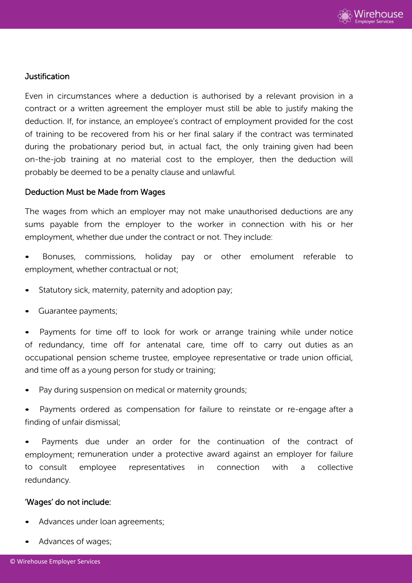

## Justification

Even in circumstances where a deduction is authorised by a relevant provision in a contract or a written agreement the employer must still be able to justify making the deduction. If, for instance, an employee's contract of employment provided for the cost of training to be recovered from his or her final salary if the contract was terminated during the probationary period but, in actual fact, the only training given had been on-the-job training at no material cost to the employer, then the deduction will probably be deemed to be a penalty clause and unlawful.

#### Deduction Must be Made from Wages

The wages from which an employer may not make unauthorised deductions are any sums payable from the employer to the worker in connection with his or her employment, whether due under the contract or not. They include:

• Bonuses, commissions, holiday pay or other emolument referable to employment, whether contractual or not;

- Statutory sick, maternity, paternity and adoption pay;
- Guarantee payments;

• Payments for time off to look for work or arrange training while under notice of redundancy, time off for antenatal care, time off to carry out duties as an occupational pension scheme trustee, employee representative or trade union official, and time off as a young person for study or training;

Pay during suspension on medical or maternity grounds;

Payments ordered as compensation for failure to reinstate or re-engage after a finding of unfair dismissal;

Payments due under an order for the continuation of the contract of employment; remuneration under a protective award against an employer for failure to consult employee representatives in connection with a collective redundancy.

#### 'Wages' do not include:

- Advances under loan agreements;
- Advances of wages;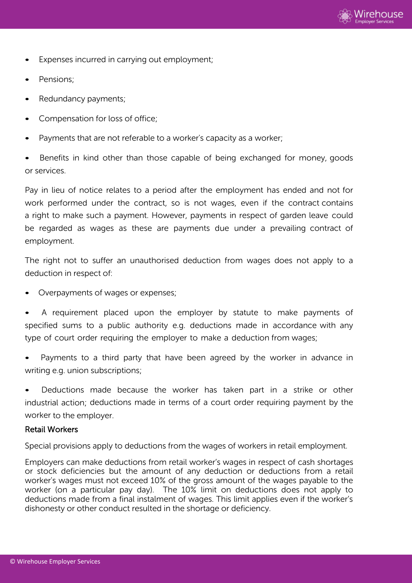

- Expenses incurred in carrying out employment;
- Pensions;
- Redundancy payments;
- Compensation for loss of office;
- Payments that are not referable to a worker's capacity as a worker;
- Benefits in kind other than those capable of being exchanged for money, goods or services.

Pay in lieu of notice relates to a period after the employment has ended and not for work performed under the contract, so is not wages, even if the contract contains a right to make such a payment. However, payments in respect of garden leave could be regarded as wages as these are payments due under a prevailing contract of employment.

The right not to suffer an unauthorised deduction from wages does not apply to a deduction in respect of:

• Overpayments of wages or expenses;

• A requirement placed upon the employer by statute to make payments of specified sums to a public authority e.g. deductions made in accordance with any type of court order requiring the employer to make a deduction from wages;

Payments to a third party that have been agreed by the worker in advance in writing e.g. union subscriptions;

• Deductions made because the worker has taken part in a strike or other industrial action; deductions made in terms of a court order requiring payment by the worker to the employer.

## Retail Workers

Special provisions apply to deductions from the wages of workers in retail employment.

Employers can make deductions from retail worker's wages in respect of cash shortages or stock deficiencies but the amount of any deduction or deductions from a retail worker's wages must not exceed 10% of the gross amount of the wages payable to the worker (on a particular pay day). The 10% limit on deductions does not apply to deductions made from a final instalment of wages. This limit applies even if the worker's dishonesty or other conduct resulted in the shortage or deficiency.